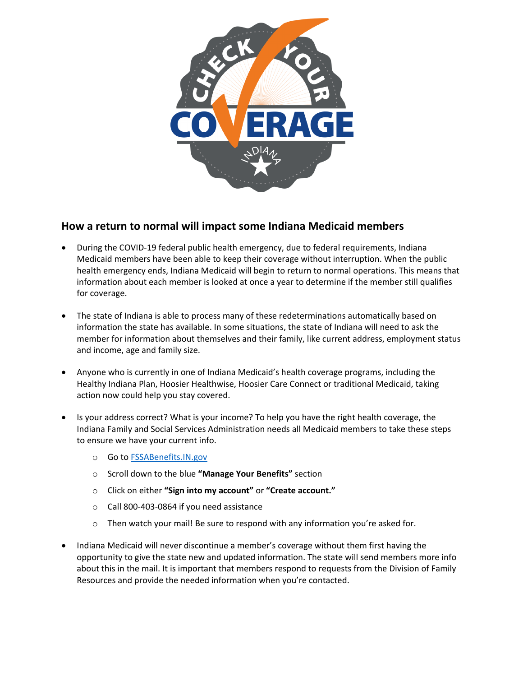

## **How a return to normal will impact some Indiana Medicaid members**

- · During the COVID-19 federal public health emergency, due to federal requirements, Indiana Medicaid members have been able to keep their coverage without interruption. When the public health emergency ends, Indiana Medicaid will begin to return to normal operations. This means that information about each member is looked at once a year to determine if the member still qualifies for coverage.
- The state of Indiana is able to process many of these redeterminations automatically based on information the state has available. In some situations, the state of Indiana will need to ask the member for information about themselves and their family, like current address, employment status and income, age and family size.
- · Anyone who is currently in one of Indiana Medicaid's health coverage programs, including the Healthy Indiana Plan, Hoosier Healthwise, Hoosier Care Connect or traditional Medicaid, taking action now could help you stay covered.
- · Is your address correct? What is your income? To help you have the right health coverage, the Indiana Family and Social Services Administration needs all Medicaid members to take these steps to ensure we have your current info.
	- o Go to [FSSABenefits.IN.gov](https://fssabenefits.in.gov/bp/#/)
	- o Scroll down to the blue **"Manage Your Benefits"** section
	- o Click on either **"Sign into my account"** or **"Create account."**
	- o Call 800-403-0864 if you need assistance
	- $\circ$  Then watch your mail! Be sure to respond with any information you're asked for.
- · Indiana Medicaid will never discontinue a member's coverage without them first having the opportunity to give the state new and updated information. The state will send members more info about this in the mail. It is important that members respond to requests from the Division of Family Resources and provide the needed information when you're contacted.